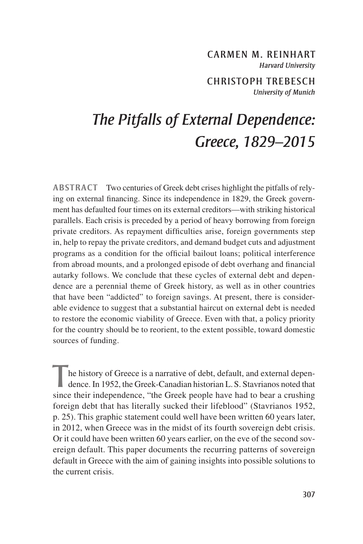# CARMEN M. REINHART *Harvard University*

CHRISTOPH TREBESCH *University of Munich*

# *The Pitfalls of External Dependence: Greece, 1829–2015*

**ABSTRACT** Two centuries of Greek debt crises highlight the pitfalls of relying on external financing. Since its independence in 1829, the Greek government has defaulted four times on its external creditors—with striking historical parallels. Each crisis is preceded by a period of heavy borrowing from foreign private creditors. As repayment difficulties arise, foreign governments step in, help to repay the private creditors, and demand budget cuts and adjustment programs as a condition for the official bailout loans; political interference from abroad mounts, and a prolonged episode of debt overhang and financial autarky follows. We conclude that these cycles of external debt and dependence are a perennial theme of Greek history, as well as in other countries that have been "addicted" to foreign savings. At present, there is considerable evidence to suggest that a substantial haircut on external debt is needed to restore the economic viability of Greece. Even with that, a policy priority for the country should be to reorient, to the extent possible, toward domestic sources of funding.

he history of Greece is a narrative of debt, default, and external dependence. In 1952, the Greek-Canadian historian L.S. Stavrianos noted that since their independence, "the Greek people have had to bear a crushing foreign debt that has literally sucked their lifeblood" (Stavrianos 1952, p. 25). This graphic statement could well have been written 60 years later, in 2012, when Greece was in the midst of its fourth sovereign debt crisis. Or it could have been written 60 years earlier, on the eve of the second sovereign default. This paper documents the recurring patterns of sovereign default in Greece with the aim of gaining insights into possible solutions to the current crisis.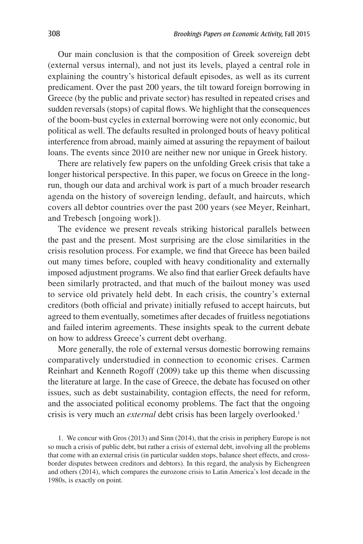Our main conclusion is that the composition of Greek sovereign debt (external versus internal), and not just its levels, played a central role in explaining the country's historical default episodes, as well as its current predicament. Over the past 200 years, the tilt toward foreign borrowing in Greece (by the public and private sector) has resulted in repeated crises and sudden reversals (stops) of capital flows. We highlight that the consequences of the boom-bust cycles in external borrowing were not only economic, but political as well. The defaults resulted in prolonged bouts of heavy political interference from abroad, mainly aimed at assuring the repayment of bailout loans. The events since 2010 are neither new nor unique in Greek history.

There are relatively few papers on the unfolding Greek crisis that take a longer historical perspective. In this paper, we focus on Greece in the longrun, though our data and archival work is part of a much broader research agenda on the history of sovereign lending, default, and haircuts, which covers all debtor countries over the past 200 years (see Meyer, Reinhart, and Trebesch [ongoing work]).

The evidence we present reveals striking historical parallels between the past and the present. Most surprising are the close similarities in the crisis resolution process. For example, we find that Greece has been bailed out many times before, coupled with heavy conditionality and externally imposed adjustment programs. We also find that earlier Greek defaults have been similarly protracted, and that much of the bailout money was used to service old privately held debt. In each crisis, the country's external creditors (both official and private) initially refused to accept haircuts, but agreed to them eventually, sometimes after decades of fruitless negotiations and failed interim agreements. These insights speak to the current debate on how to address Greece's current debt overhang.

More generally, the role of external versus domestic borrowing remains comparatively understudied in connection to economic crises. Carmen Reinhart and Kenneth Rogoff (2009) take up this theme when discussing the literature at large. In the case of Greece, the debate has focused on other issues, such as debt sustainability, contagion effects, the need for reform, and the associated political economy problems. The fact that the ongoing crisis is very much an *external* debt crisis has been largely overlooked.<sup>1</sup>

1. We concur with Gros (2013) and Sinn (2014), that the crisis in periphery Europe is not so much a crisis of public debt, but rather a crisis of external debt, involving all the problems that come with an external crisis (in particular sudden stops, balance sheet effects, and crossborder disputes between creditors and debtors). In this regard, the analysis by Eichengreen and others (2014), which compares the eurozone crisis to Latin America's lost decade in the 1980s, is exactly on point.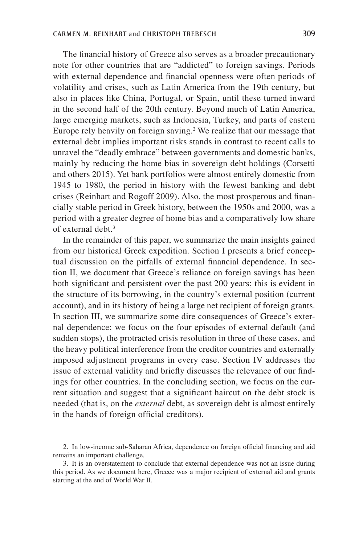The financial history of Greece also serves as a broader precautionary note for other countries that are "addicted" to foreign savings. Periods with external dependence and financial openness were often periods of volatility and crises, such as Latin America from the 19th century, but also in places like China, Portugal, or Spain, until these turned inward in the second half of the 20th century. Beyond much of Latin America, large emerging markets, such as Indonesia, Turkey, and parts of eastern Europe rely heavily on foreign saving.<sup>2</sup> We realize that our message that external debt implies important risks stands in contrast to recent calls to unravel the "deadly embrace" between governments and domestic banks, mainly by reducing the home bias in sovereign debt holdings (Corsetti and others 2015). Yet bank portfolios were almost entirely domestic from 1945 to 1980, the period in history with the fewest banking and debt crises (Reinhart and Rogoff 2009). Also, the most prosperous and financially stable period in Greek history, between the 1950s and 2000, was a period with a greater degree of home bias and a comparatively low share of external debt $3$ 

In the remainder of this paper, we summarize the main insights gained from our historical Greek expedition. Section I presents a brief conceptual discussion on the pitfalls of external financial dependence. In section II, we document that Greece's reliance on foreign savings has been both significant and persistent over the past 200 years; this is evident in the structure of its borrowing, in the country's external position (current account), and in its history of being a large net recipient of foreign grants. In section III, we summarize some dire consequences of Greece's external dependence; we focus on the four episodes of external default (and sudden stops), the protracted crisis resolution in three of these cases, and the heavy political interference from the creditor countries and externally imposed adjustment programs in every case. Section IV addresses the issue of external validity and briefly discusses the relevance of our findings for other countries. In the concluding section, we focus on the current situation and suggest that a significant haircut on the debt stock is needed (that is, on the *external* debt, as sovereign debt is almost entirely in the hands of foreign official creditors).

<sup>2.</sup> In low-income sub-Saharan Africa, dependence on foreign official financing and aid remains an important challenge.

<sup>3.</sup> It is an overstatement to conclude that external dependence was not an issue during this period. As we document here, Greece was a major recipient of external aid and grants starting at the end of World War II.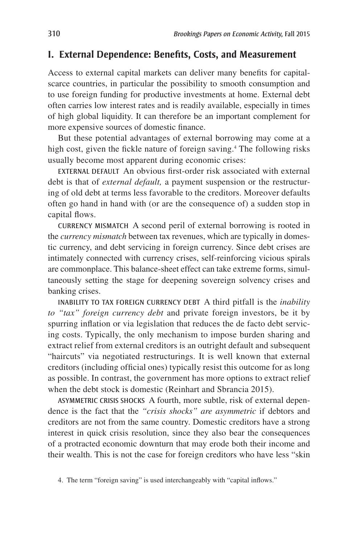# **I. External Dependence: Benefits, Costs, and Measurement**

Access to external capital markets can deliver many benefits for capitalscarce countries, in particular the possibility to smooth consumption and to use foreign funding for productive investments at home. External debt often carries low interest rates and is readily available, especially in times of high global liquidity. It can therefore be an important complement for more expensive sources of domestic finance.

But these potential advantages of external borrowing may come at a high cost, given the fickle nature of foreign saving.<sup>4</sup> The following risks usually become most apparent during economic crises:

EXTERNAL DEFAULT An obvious first-order risk associated with external debt is that of *external default,* a payment suspension or the restructuring of old debt at terms less favorable to the creditors. Moreover defaults often go hand in hand with (or are the consequence of) a sudden stop in capital flows.

CURRENCY MISMATCH A second peril of external borrowing is rooted in the *currency mismatch* between tax revenues, which are typically in domestic currency, and debt servicing in foreign currency. Since debt crises are intimately connected with currency crises, self-reinforcing vicious spirals are commonplace. This balance-sheet effect can take extreme forms, simultaneously setting the stage for deepening sovereign solvency crises and banking crises.

INABILITY TO TAX FOREIGN CURRENCY DEBT A third pitfall is the *inability to "tax" foreign currency debt* and private foreign investors, be it by spurring inflation or via legislation that reduces the de facto debt servicing costs. Typically, the only mechanism to impose burden sharing and extract relief from external creditors is an outright default and subsequent "haircuts" via negotiated restructurings. It is well known that external creditors (including official ones) typically resist this outcome for as long as possible. In contrast, the government has more options to extract relief when the debt stock is domestic (Reinhart and Sbrancia 2015).

ASYMMETRIC CRISIS SHOCKS A fourth, more subtle, risk of external dependence is the fact that the *"crisis shocks" are asymmetric* if debtors and creditors are not from the same country. Domestic creditors have a strong interest in quick crisis resolution, since they also bear the consequences of a protracted economic downturn that may erode both their income and their wealth. This is not the case for foreign creditors who have less "skin

<sup>4.</sup> The term "foreign saving" is used interchangeably with "capital inflows."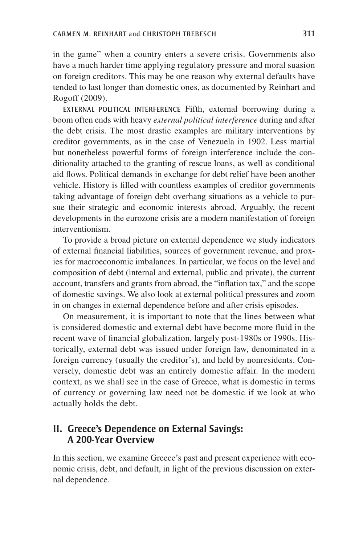in the game" when a country enters a severe crisis. Governments also have a much harder time applying regulatory pressure and moral suasion on foreign creditors. This may be one reason why external defaults have tended to last longer than domestic ones, as documented by Reinhart and Rogoff (2009).

EXTERNAL POLITICAL INTERFERENCE Fifth, external borrowing during a boom often ends with heavy *external political interference* during and after the debt crisis. The most drastic examples are military interventions by creditor governments, as in the case of Venezuela in 1902. Less martial but nonetheless powerful forms of foreign interference include the conditionality attached to the granting of rescue loans, as well as conditional aid flows. Political demands in exchange for debt relief have been another vehicle. History is filled with countless examples of creditor governments taking advantage of foreign debt overhang situations as a vehicle to pursue their strategic and economic interests abroad. Arguably, the recent developments in the eurozone crisis are a modern manifestation of foreign interventionism.

To provide a broad picture on external dependence we study indicators of external financial liabilities, sources of government revenue, and proxies for macroeconomic imbalances. In particular, we focus on the level and composition of debt (internal and external, public and private), the current account, transfers and grants from abroad, the "inflation tax," and the scope of domestic savings. We also look at external political pressures and zoom in on changes in external dependence before and after crisis episodes.

On measurement, it is important to note that the lines between what is considered domestic and external debt have become more fluid in the recent wave of financial globalization, largely post-1980s or 1990s. Historically, external debt was issued under foreign law, denominated in a foreign currency (usually the creditor's), and held by nonresidents. Conversely, domestic debt was an entirely domestic affair. In the modern context, as we shall see in the case of Greece, what is domestic in terms of currency or governing law need not be domestic if we look at who actually holds the debt.

# **II. Greece's Dependence on External Savings: A 200-Year Overview**

In this section, we examine Greece's past and present experience with economic crisis, debt, and default, in light of the previous discussion on external dependence.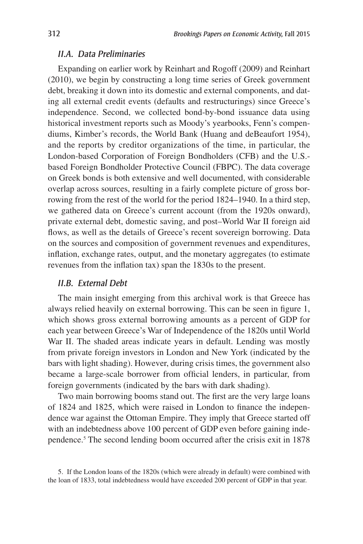#### *II.A. Data Preliminaries*

Expanding on earlier work by Reinhart and Rogoff (2009) and Reinhart (2010), we begin by constructing a long time series of Greek government debt, breaking it down into its domestic and external components, and dating all external credit events (defaults and restructurings) since Greece's independence. Second, we collected bond-by-bond issuance data using historical investment reports such as Moody's yearbooks, Fenn's compendiums, Kimber's records, the World Bank (Huang and deBeaufort 1954), and the reports by creditor organizations of the time, in particular, the London-based Corporation of Foreign Bondholders (CFB) and the U.S. based Foreign Bondholder Protective Council (FBPC). The data coverage on Greek bonds is both extensive and well documented, with considerable overlap across sources, resulting in a fairly complete picture of gross borrowing from the rest of the world for the period 1824–1940. In a third step, we gathered data on Greece's current account (from the 1920s onward), private external debt, domestic saving, and post–World War II foreign aid flows, as well as the details of Greece's recent sovereign borrowing. Data on the sources and composition of government revenues and expenditures, inflation, exchange rates, output, and the monetary aggregates (to estimate revenues from the inflation tax) span the 1830s to the present.

#### *II.B. External Debt*

The main insight emerging from this archival work is that Greece has always relied heavily on external borrowing. This can be seen in figure 1, which shows gross external borrowing amounts as a percent of GDP for each year between Greece's War of Independence of the 1820s until World War II. The shaded areas indicate years in default. Lending was mostly from private foreign investors in London and New York (indicated by the bars with light shading). However, during crisis times, the government also became a large-scale borrower from official lenders, in particular, from foreign governments (indicated by the bars with dark shading).

Two main borrowing booms stand out. The first are the very large loans of 1824 and 1825, which were raised in London to finance the independence war against the Ottoman Empire. They imply that Greece started off with an indebtedness above 100 percent of GDP even before gaining independence.<sup>5</sup> The second lending boom occurred after the crisis exit in 1878

<sup>5.</sup> If the London loans of the 1820s (which were already in default) were combined with the loan of 1833, total indebtedness would have exceeded 200 percent of GDP in that year.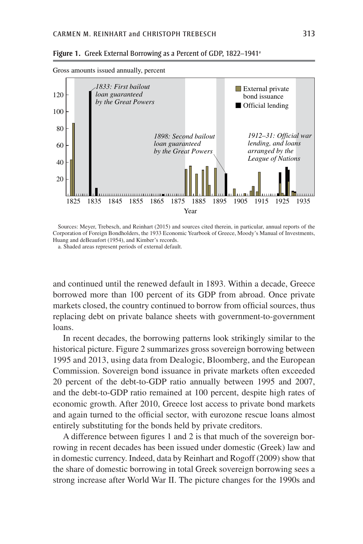

**Figure 1.** Greek External Borrowing as a Percent of GDP, 1822–1941a

Sources: Meyer, Trebesch, and Reinhart (2015) and sources cited therein, in particular, annual reports of the Corporation of Foreign Bondholders, the 1933 Economic Yearbook of Greece, Moody's Manual of Investments, Huang and deBeaufort (1954), and Kimber's records.

a. Shaded areas represent periods of external default.

and continued until the renewed default in 1893. Within a decade, Greece borrowed more than 100 percent of its GDP from abroad. Once private markets closed, the country continued to borrow from official sources, thus replacing debt on private balance sheets with government-to-government loans.

In recent decades, the borrowing patterns look strikingly similar to the historical picture. Figure 2 summarizes gross sovereign borrowing between 1995 and 2013, using data from Dealogic, Bloomberg, and the European Commission. Sovereign bond issuance in private markets often exceeded 20 percent of the debt-to-GDP ratio annually between 1995 and 2007, and the debt-to-GDP ratio remained at 100 percent, despite high rates of economic growth. After 2010, Greece lost access to private bond markets and again turned to the official sector, with eurozone rescue loans almost entirely substituting for the bonds held by private creditors.

A difference between figures 1 and 2 is that much of the sovereign borrowing in recent decades has been issued under domestic (Greek) law and in domestic currency. Indeed, data by Reinhart and Rogoff (2009) show that the share of domestic borrowing in total Greek sovereign borrowing sees a strong increase after World War II. The picture changes for the 1990s and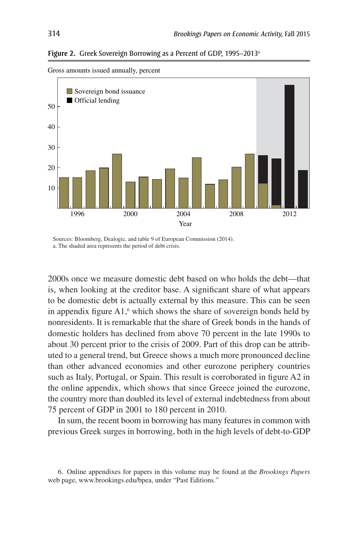**Figure 2.** Greek Sovereign Borrowing as a Percent of GDP, 1995–2013a



Gross amounts issued annually, percent

Sources: Bloomberg, Dealogic, and table 9 of European Commission (2014). a. The shaded area represents the period of debt crisis.

2000s once we measure domestic debt based on who holds the debt—that is, when looking at the creditor base. A significant share of what appears to be domestic debt is actually external by this measure. This can be seen in appendix figure  $A1$ ,  $6$  which shows the share of sovereign bonds held by nonresidents. It is remarkable that the share of Greek bonds in the hands of domestic holders has declined from above 70 percent in the late 1990s to about 30 percent prior to the crisis of 2009. Part of this drop can be attributed to a general trend, but Greece shows a much more pronounced decline than other advanced economies and other eurozone periphery countries such as Italy, Portugal, or Spain. This result is corroborated in figure A2 in the online appendix, which shows that since Greece joined the eurozone, the country more than doubled its level of external indebtedness from about 75 percent of GDP in 2001 to 180 percent in 2010.

In sum, the recent boom in borrowing has many features in common with previous Greek surges in borrowing, both in the high levels of debt-to-GDP

<sup>6.</sup> Online appendixes for papers in this volume may be found at the *Brookings Papers* web page, www.brookings.edu/bpea, under "Past Editions."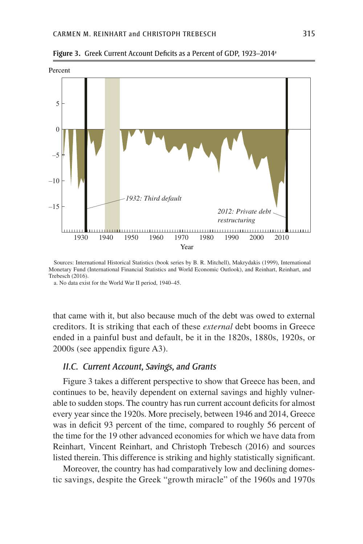

**Figure 3.** Greek Current Account Deficits as a Percent of GDP, 1923–2014a

Sources: International Historical Statistics (book series by B. R. Mitchell), Makrydakis (1999), International Monetary Fund (International Financial Statistics and World Economic Outlook), and Reinhart, Reinhart, and Trebesch (2016).

a. No data exist for the World War II period, 1940–45.

that came with it, but also because much of the debt was owed to external creditors. It is striking that each of these *external* debt booms in Greece ended in a painful bust and default, be it in the 1820s, 1880s, 1920s, or 2000s (see appendix figure A3).

#### *II.C. Current Account, Savings, and Grants*

Figure 3 takes a different perspective to show that Greece has been, and continues to be, heavily dependent on external savings and highly vulnerable to sudden stops. The country has run current account deficits for almost every year since the 1920s. More precisely, between 1946 and 2014, Greece was in deficit 93 percent of the time, compared to roughly 56 percent of the time for the 19 other advanced economies for which we have data from Reinhart, Vincent Reinhart, and Christoph Trebesch (2016) and sources listed therein. This difference is striking and highly statistically significant.

Moreover, the country has had comparatively low and declining domestic savings, despite the Greek "growth miracle" of the 1960s and 1970s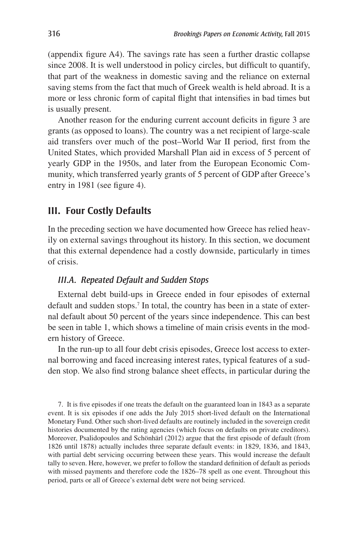(appendix figure A4). The savings rate has seen a further drastic collapse since 2008. It is well understood in policy circles, but difficult to quantify, that part of the weakness in domestic saving and the reliance on external saving stems from the fact that much of Greek wealth is held abroad. It is a more or less chronic form of capital flight that intensifies in bad times but is usually present.

Another reason for the enduring current account deficits in figure 3 are grants (as opposed to loans). The country was a net recipient of large-scale aid transfers over much of the post–World War II period, first from the United States, which provided Marshall Plan aid in excess of 5 percent of yearly GDP in the 1950s, and later from the European Economic Community, which transferred yearly grants of 5 percent of GDP after Greece's entry in 1981 (see figure 4).

# **III. Four Costly Defaults**

In the preceding section we have documented how Greece has relied heavily on external savings throughout its history. In this section, we document that this external dependence had a costly downside, particularly in times of crisis.

#### *III.A. Repeated Default and Sudden Stops*

External debt build-ups in Greece ended in four episodes of external default and sudden stops.<sup>7</sup> In total, the country has been in a state of external default about 50 percent of the years since independence. This can best be seen in table 1, which shows a timeline of main crisis events in the modern history of Greece.

In the run-up to all four debt crisis episodes, Greece lost access to external borrowing and faced increasing interest rates, typical features of a sudden stop. We also find strong balance sheet effects, in particular during the

7. It is five episodes if one treats the default on the guaranteed loan in 1843 as a separate event. It is six episodes if one adds the July 2015 short-lived default on the International Monetary Fund. Other such short-lived defaults are routinely included in the sovereign credit histories documented by the rating agencies (which focus on defaults on private creditors). Moreover, Psalidopoulos and Schönhärl (2012) argue that the first episode of default (from 1826 until 1878) actually includes three separate default events: in 1829, 1836, and 1843, with partial debt servicing occurring between these years. This would increase the default tally to seven. Here, however, we prefer to follow the standard definition of default as periods with missed payments and therefore code the 1826–78 spell as one event. Throughout this period, parts or all of Greece's external debt were not being serviced.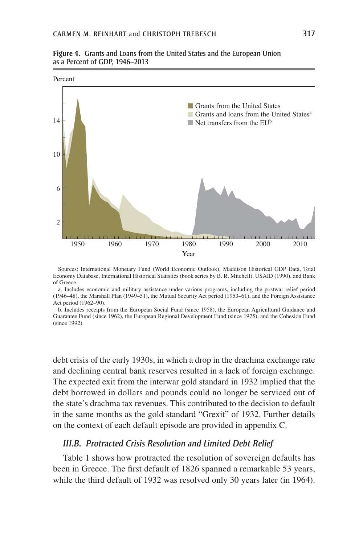**Figure 4.** Grants and Loans from the United States and the European Union as a Percent of GDP, 1946–2013



Sources: International Monetary Fund (World Economic Outlook), Maddison Historical GDP Data, Total Economy Database, International Historical Statistics (book series by B. R. Mitchell), USAID (1990), and Bank of Greece.

a. Includes economic and military assistance under various programs, including the postwar relief period (1946–48), the Marshall Plan (1949–51), the Mutual Security Act period (1953–61), and the Foreign Assistance Act period (1962–90).

b. Includes receipts from the European Social Fund (since 1958), the European Agricultural Guidance and Guarantee Fund (since 1962), the European Regional Development Fund (since 1975), and the Cohesion Fund (since 1992).

debt crisis of the early 1930s, in which a drop in the drachma exchange rate and declining central bank reserves resulted in a lack of foreign exchange. The expected exit from the interwar gold standard in 1932 implied that the debt borrowed in dollars and pounds could no longer be serviced out of the state's drachma tax revenues. This contributed to the decision to default in the same months as the gold standard "Grexit" of 1932. Further details on the context of each default episode are provided in appendix C.

#### *III.B. Protracted Crisis Resolution and Limited Debt Relief*

Table 1 shows how protracted the resolution of sovereign defaults has been in Greece. The first default of 1826 spanned a remarkable 53 years, while the third default of 1932 was resolved only 30 years later (in 1964).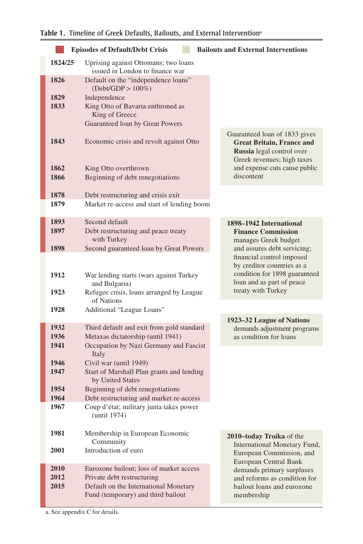# **Table 1.** Timeline of Greek Defaults, Bailouts, and External Interventiona

| <b>Episodes of Default/Debt Crisis</b><br><b>Bailouts and External Interventions</b> |                                                                                |                                                                                                                              |  |  |  |
|--------------------------------------------------------------------------------------|--------------------------------------------------------------------------------|------------------------------------------------------------------------------------------------------------------------------|--|--|--|
| 1824/25                                                                              | Uprising against Ottomans; two loans<br>issued in London to finance war        |                                                                                                                              |  |  |  |
| 1826                                                                                 | Default on the "independence loans"<br>$(Debt/GDP > 100\%)$                    |                                                                                                                              |  |  |  |
| 1829                                                                                 | Independence                                                                   |                                                                                                                              |  |  |  |
| 1833                                                                                 | King Otto of Bavaria enthroned as<br>King of Greece                            |                                                                                                                              |  |  |  |
|                                                                                      | Guaranteed loan by Great Powers                                                |                                                                                                                              |  |  |  |
| 1843                                                                                 | Economic crisis and revolt against Otto                                        | Guaranteed loan of 1833 gives<br><b>Great Britain, France and</b><br>Russia legal control over<br>Greek revenues; high taxes |  |  |  |
| 1862                                                                                 | King Otto overthrown                                                           | and expense cuts cause public                                                                                                |  |  |  |
| 1866                                                                                 | Beginning of debt renegotiations                                               | discontent                                                                                                                   |  |  |  |
| 1878                                                                                 | Debt restructuring and crisis exit                                             |                                                                                                                              |  |  |  |
| 1879                                                                                 | Market re-access and start of lending boom                                     |                                                                                                                              |  |  |  |
| 1893                                                                                 | Second default                                                                 |                                                                                                                              |  |  |  |
| 1897                                                                                 | Debt restructuring and peace treaty                                            | 1898–1942 International<br><b>Finance Commission</b>                                                                         |  |  |  |
|                                                                                      | with Turkey                                                                    | manages Greek budget                                                                                                         |  |  |  |
| 1898                                                                                 | Second guaranteed loan by Great Powers                                         | and assures debt servicing;<br>financial control imposed                                                                     |  |  |  |
|                                                                                      |                                                                                | by creditor countries as a                                                                                                   |  |  |  |
| 1912                                                                                 | War lending starts (wars against Turkey                                        | condition for 1898 guaranteed                                                                                                |  |  |  |
| 1923                                                                                 | and Bulgaria)                                                                  | loan and as part of peace<br>treaty with Turkey                                                                              |  |  |  |
|                                                                                      | Refugee crisis, loans arranged by League<br>of Nations                         |                                                                                                                              |  |  |  |
| 1928                                                                                 | Additional "League Loans"                                                      |                                                                                                                              |  |  |  |
| 1932                                                                                 |                                                                                | 1923-32 League of Nations                                                                                                    |  |  |  |
| 1936                                                                                 | Third default and exit from gold standard<br>Metaxas dictatorship (until 1941) | demands adjustment programs<br>as condition for loans                                                                        |  |  |  |
| 1941                                                                                 | Occupation by Nazi Germany and Fascist<br>Italy                                |                                                                                                                              |  |  |  |
| 1946                                                                                 | Civil war (until 1949)                                                         |                                                                                                                              |  |  |  |
| 1947                                                                                 | Start of Marshall Plan grants and lending<br>by United States                  |                                                                                                                              |  |  |  |
| 1954                                                                                 | Beginning of debt renegotiations                                               |                                                                                                                              |  |  |  |
| 1964<br>1967                                                                         | Debt restructuring and market re-access                                        |                                                                                                                              |  |  |  |
|                                                                                      | Coup d'état; military junta takes power<br>(until 1974)                        |                                                                                                                              |  |  |  |
| 1981                                                                                 | Membership in European Economic<br>Community                                   | 2010-today Troika of the<br>International Monetary Fund,                                                                     |  |  |  |
| 2001                                                                                 | Introduction of euro                                                           | European Commission, and<br>European Central Bank                                                                            |  |  |  |
| 2010<br>2012                                                                         | Eurozone bailout; loss of market access<br>Private debt restructuring          | demands primary surpluses<br>and reforms as condition for                                                                    |  |  |  |
| 2015                                                                                 | Default on the International Monetary                                          | bailout loans and eurozone                                                                                                   |  |  |  |
|                                                                                      | Fund (temporary) and third bailout                                             | membership                                                                                                                   |  |  |  |

a. See appendix C for details.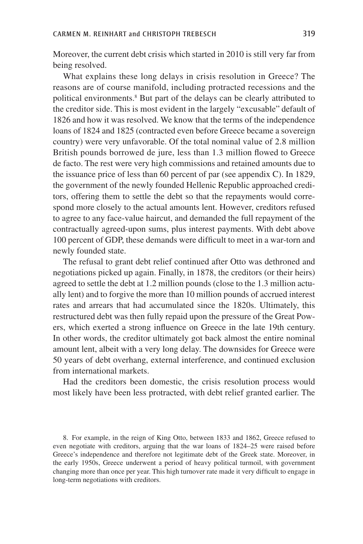Moreover, the current debt crisis which started in 2010 is still very far from being resolved.

What explains these long delays in crisis resolution in Greece? The reasons are of course manifold, including protracted recessions and the political environments.<sup>8</sup> But part of the delays can be clearly attributed to the creditor side. This is most evident in the largely "excusable" default of 1826 and how it was resolved. We know that the terms of the independence loans of 1824 and 1825 (contracted even before Greece became a sovereign country) were very unfavorable. Of the total nominal value of 2.8 million British pounds borrowed de jure, less than 1.3 million flowed to Greece de facto. The rest were very high commissions and retained amounts due to the issuance price of less than 60 percent of par (see appendix C). In 1829, the government of the newly founded Hellenic Republic approached creditors, offering them to settle the debt so that the repayments would correspond more closely to the actual amounts lent. However, creditors refused to agree to any face-value haircut, and demanded the full repayment of the contractually agreed-upon sums, plus interest payments. With debt above 100 percent of GDP, these demands were difficult to meet in a war-torn and newly founded state.

The refusal to grant debt relief continued after Otto was dethroned and negotiations picked up again. Finally, in 1878, the creditors (or their heirs) agreed to settle the debt at 1.2 million pounds (close to the 1.3 million actually lent) and to forgive the more than 10 million pounds of accrued interest rates and arrears that had accumulated since the 1820s. Ultimately, this restructured debt was then fully repaid upon the pressure of the Great Powers, which exerted a strong influence on Greece in the late 19th century. In other words, the creditor ultimately got back almost the entire nominal amount lent, albeit with a very long delay. The downsides for Greece were 50 years of debt overhang, external interference, and continued exclusion from international markets.

Had the creditors been domestic, the crisis resolution process would most likely have been less protracted, with debt relief granted earlier. The

8. For example, in the reign of King Otto, between 1833 and 1862, Greece refused to even negotiate with creditors, arguing that the war loans of 1824–25 were raised before Greece's independence and therefore not legitimate debt of the Greek state. Moreover, in the early 1950s, Greece underwent a period of heavy political turmoil, with government changing more than once per year. This high turnover rate made it very difficult to engage in long-term negotiations with creditors.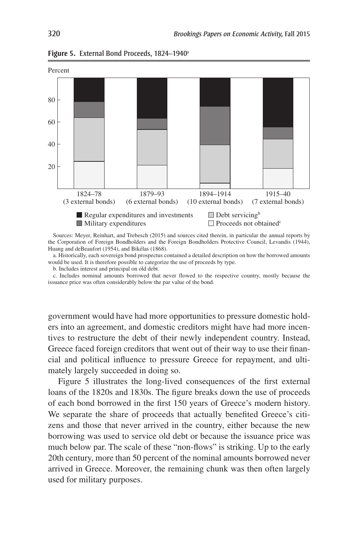

Figure 5. External Bond Proceeds, 1824–1940<sup>a</sup>

Sources: Meyer, Reinhart, and Trebesch (2015) and sources cited therein, in particular the annual reports by the Corporation of Foreign Bondholders and the Foreign Bondholders Protective Council, Levandis (1944), Huang and deBeaufort (1954), and Bikélas (1868).

a. Historically, each sovereign bond prospectus contained a detailed description on how the borrowed amounts would be used. It is therefore possible to categorize the use of proceeds by type.

b. Includes interest and principal on old debt.

c. Includes nominal amounts borrowed that never flowed to the respective country, mostly because the issuance price was often considerably below the par value of the bond.

government would have had more opportunities to pressure domestic holders into an agreement, and domestic creditors might have had more incentives to restructure the debt of their newly independent country. Instead, Greece faced foreign creditors that went out of their way to use their financial and political influence to pressure Greece for repayment, and ultimately largely succeeded in doing so.

Figure 5 illustrates the long-lived consequences of the first external loans of the 1820s and 1830s. The figure breaks down the use of proceeds of each bond borrowed in the first 150 years of Greece's modern history. We separate the share of proceeds that actually benefited Greece's citizens and those that never arrived in the country, either because the new borrowing was used to service old debt or because the issuance price was much below par. The scale of these "non-flows" is striking. Up to the early 20th century, more than 50 percent of the nominal amounts borrowed never arrived in Greece. Moreover, the remaining chunk was then often largely used for military purposes.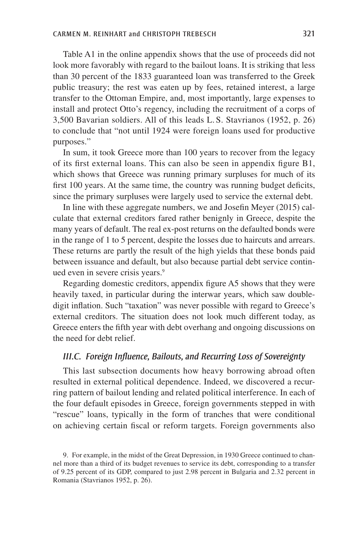Table A1 in the online appendix shows that the use of proceeds did not look more favorably with regard to the bailout loans. It is striking that less than 30 percent of the 1833 guaranteed loan was transferred to the Greek public treasury; the rest was eaten up by fees, retained interest, a large transfer to the Ottoman Empire, and, most importantly, large expenses to install and protect Otto's regency, including the recruitment of a corps of 3,500 Bavarian soldiers. All of this leads L. S. Stavrianos (1952, p. 26) to conclude that "not until 1924 were foreign loans used for productive purposes."

In sum, it took Greece more than 100 years to recover from the legacy of its first external loans. This can also be seen in appendix figure B1, which shows that Greece was running primary surpluses for much of its first 100 years. At the same time, the country was running budget deficits, since the primary surpluses were largely used to service the external debt.

In line with these aggregate numbers, we and Josefin Meyer (2015) calculate that external creditors fared rather benignly in Greece, despite the many years of default. The real ex-post returns on the defaulted bonds were in the range of 1 to 5 percent, despite the losses due to haircuts and arrears. These returns are partly the result of the high yields that these bonds paid between issuance and default, but also because partial debt service continued even in severe crisis years.<sup>9</sup>

Regarding domestic creditors, appendix figure A5 shows that they were heavily taxed, in particular during the interwar years, which saw doubledigit inflation. Such "taxation" was never possible with regard to Greece's external creditors. The situation does not look much different today, as Greece enters the fifth year with debt overhang and ongoing discussions on the need for debt relief.

#### *III.C. Foreign Influence, Bailouts, and Recurring Loss of Sovereignty*

This last subsection documents how heavy borrowing abroad often resulted in external political dependence. Indeed, we discovered a recurring pattern of bailout lending and related political interference. In each of the four default episodes in Greece, foreign governments stepped in with "rescue" loans, typically in the form of tranches that were conditional on achieving certain fiscal or reform targets. Foreign governments also

<sup>9.</sup> For example, in the midst of the Great Depression, in 1930 Greece continued to channel more than a third of its budget revenues to service its debt, corresponding to a transfer of 9.25 percent of its GDP, compared to just 2.98 percent in Bulgaria and 2.32 percent in Romania (Stavrianos 1952, p. 26).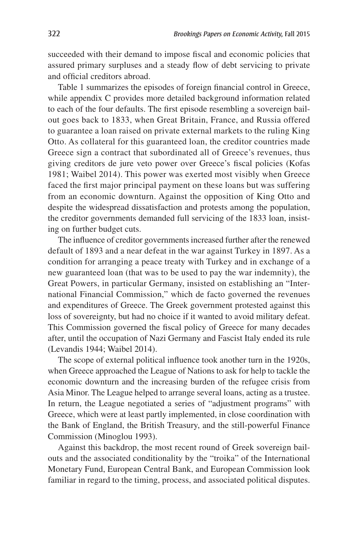succeeded with their demand to impose fiscal and economic policies that assured primary surpluses and a steady flow of debt servicing to private and official creditors abroad.

Table 1 summarizes the episodes of foreign financial control in Greece, while appendix C provides more detailed background information related to each of the four defaults. The first episode resembling a sovereign bailout goes back to 1833, when Great Britain, France, and Russia offered to guarantee a loan raised on private external markets to the ruling King Otto. As collateral for this guaranteed loan, the creditor countries made Greece sign a contract that subordinated all of Greece's revenues, thus giving creditors de jure veto power over Greece's fiscal policies (Kofas 1981; Waibel 2014). This power was exerted most visibly when Greece faced the first major principal payment on these loans but was suffering from an economic downturn. Against the opposition of King Otto and despite the widespread dissatisfaction and protests among the population, the creditor governments demanded full servicing of the 1833 loan, insisting on further budget cuts.

The influence of creditor governments increased further after the renewed default of 1893 and a near defeat in the war against Turkey in 1897. As a condition for arranging a peace treaty with Turkey and in exchange of a new guaranteed loan (that was to be used to pay the war indemnity), the Great Powers, in particular Germany, insisted on establishing an "International Financial Commission," which de facto governed the revenues and expenditures of Greece. The Greek government protested against this loss of sovereignty, but had no choice if it wanted to avoid military defeat. This Commission governed the fiscal policy of Greece for many decades after, until the occupation of Nazi Germany and Fascist Italy ended its rule (Levandis 1944; Waibel 2014).

The scope of external political influence took another turn in the 1920s, when Greece approached the League of Nations to ask for help to tackle the economic downturn and the increasing burden of the refugee crisis from Asia Minor. The League helped to arrange several loans, acting as a trustee. In return, the League negotiated a series of "adjustment programs" with Greece, which were at least partly implemented, in close coordination with the Bank of England, the British Treasury, and the still-powerful Finance Commission (Minoglou 1993).

Against this backdrop, the most recent round of Greek sovereign bailouts and the associated conditionality by the "troika" of the International Monetary Fund, European Central Bank, and European Commission look familiar in regard to the timing, process, and associated political disputes.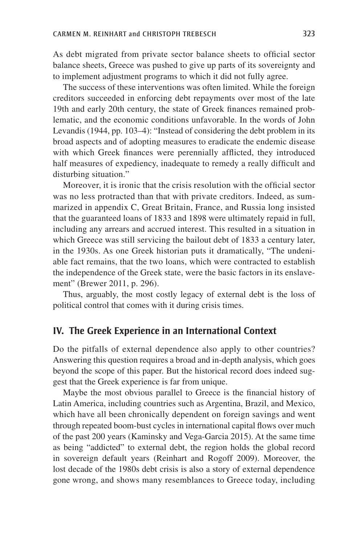As debt migrated from private sector balance sheets to official sector balance sheets, Greece was pushed to give up parts of its sovereignty and to implement adjustment programs to which it did not fully agree.

The success of these interventions was often limited. While the foreign creditors succeeded in enforcing debt repayments over most of the late 19th and early 20th century, the state of Greek finances remained problematic, and the economic conditions unfavorable. In the words of John Levandis (1944, pp. 103–4): "Instead of considering the debt problem in its broad aspects and of adopting measures to eradicate the endemic disease with which Greek finances were perennially afflicted, they introduced half measures of expediency, inadequate to remedy a really difficult and disturbing situation."

Moreover, it is ironic that the crisis resolution with the official sector was no less protracted than that with private creditors. Indeed, as summarized in appendix C, Great Britain, France, and Russia long insisted that the guaranteed loans of 1833 and 1898 were ultimately repaid in full, including any arrears and accrued interest. This resulted in a situation in which Greece was still servicing the bailout debt of 1833 a century later, in the 1930s. As one Greek historian puts it dramatically, "The undeniable fact remains, that the two loans, which were contracted to establish the independence of the Greek state, were the basic factors in its enslavement" (Brewer 2011, p. 296).

Thus, arguably, the most costly legacy of external debt is the loss of political control that comes with it during crisis times.

### **IV. The Greek Experience in an International Context**

Do the pitfalls of external dependence also apply to other countries? Answering this question requires a broad and in-depth analysis, which goes beyond the scope of this paper. But the historical record does indeed suggest that the Greek experience is far from unique.

Maybe the most obvious parallel to Greece is the financial history of Latin America, including countries such as Argentina, Brazil, and Mexico, which have all been chronically dependent on foreign savings and went through repeated boom-bust cycles in international capital flows over much of the past 200 years (Kaminsky and Vega-Garcia 2015). At the same time as being "addicted" to external debt, the region holds the global record in sovereign default years (Reinhart and Rogoff 2009). Moreover, the lost decade of the 1980s debt crisis is also a story of external dependence gone wrong, and shows many resemblances to Greece today, including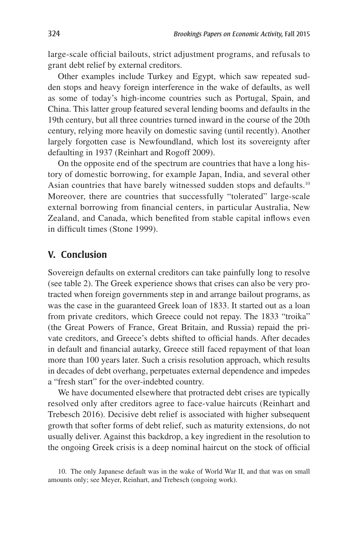large-scale official bailouts, strict adjustment programs, and refusals to grant debt relief by external creditors.

Other examples include Turkey and Egypt, which saw repeated sudden stops and heavy foreign interference in the wake of defaults, as well as some of today's high-income countries such as Portugal, Spain, and China. This latter group featured several lending booms and defaults in the 19th century, but all three countries turned inward in the course of the 20th century, relying more heavily on domestic saving (until recently). Another largely forgotten case is Newfoundland, which lost its sovereignty after defaulting in 1937 (Reinhart and Rogoff 2009).

On the opposite end of the spectrum are countries that have a long history of domestic borrowing, for example Japan, India, and several other Asian countries that have barely witnessed sudden stops and defaults.<sup>10</sup> Moreover, there are countries that successfully "tolerated" large-scale external borrowing from financial centers, in particular Australia, New Zealand, and Canada, which benefited from stable capital inflows even in difficult times (Stone 1999).

## **V. Conclusion**

Sovereign defaults on external creditors can take painfully long to resolve (see table 2). The Greek experience shows that crises can also be very protracted when foreign governments step in and arrange bailout programs, as was the case in the guaranteed Greek loan of 1833. It started out as a loan from private creditors, which Greece could not repay. The 1833 "troika" (the Great Powers of France, Great Britain, and Russia) repaid the private creditors, and Greece's debts shifted to official hands. After decades in default and financial autarky, Greece still faced repayment of that loan more than 100 years later. Such a crisis resolution approach, which results in decades of debt overhang, perpetuates external dependence and impedes a "fresh start" for the over-indebted country.

We have documented elsewhere that protracted debt crises are typically resolved only after creditors agree to face-value haircuts (Reinhart and Trebesch 2016). Decisive debt relief is associated with higher subsequent growth that softer forms of debt relief, such as maturity extensions, do not usually deliver. Against this backdrop, a key ingredient in the resolution to the ongoing Greek crisis is a deep nominal haircut on the stock of official

<sup>10.</sup> The only Japanese default was in the wake of World War II, and that was on small amounts only; see Meyer, Reinhart, and Trebesch (ongoing work).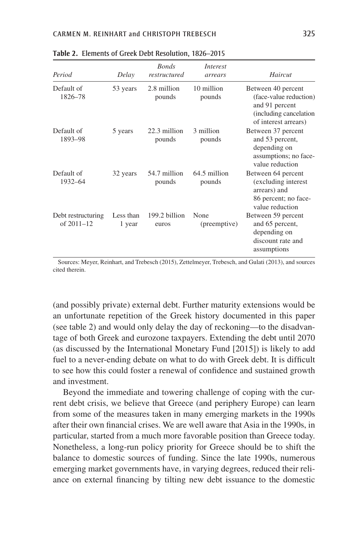| Period                               | Delay               | <b>Bonds</b><br>restructured | Interest<br>arrears    | Haircut                                                                                                           |
|--------------------------------------|---------------------|------------------------------|------------------------|-------------------------------------------------------------------------------------------------------------------|
| Default of<br>1826-78                | 53 years            | 2.8 million<br>pounds        | 10 million<br>pounds   | Between 40 percent<br>(face-value reduction)<br>and 91 percent<br>(including cancelation)<br>of interest arrears) |
| Default of<br>1893-98                | 5 years             | 22.3 million<br>pounds       | 3 million<br>pounds    | Between 37 percent<br>and 53 percent,<br>depending on<br>assumptions; no face-<br>value reduction                 |
| Default of<br>1932-64                | 32 years            | 54.7 million<br>pounds       | 64.5 million<br>pounds | Between 64 percent<br>(excluding interest)<br>arrears) and<br>86 percent; no face-<br>value reduction             |
| Debt restructuring<br>of $2011 - 12$ | Less than<br>1 year | 199.2 billion<br>euros       | None<br>(preemptive)   | Between 59 percent<br>and 65 percent,<br>depending on<br>discount rate and<br>assumptions                         |

**Table 2.** Elements of Greek Debt Resolution, 1826–2015

Sources: Meyer, Reinhart, and Trebesch (2015), Zettelmeyer, Trebesch, and Gulati (2013), and sources cited therein.

(and possibly private) external debt. Further maturity extensions would be an unfortunate repetition of the Greek history documented in this paper (see table 2) and would only delay the day of reckoning—to the disadvantage of both Greek and eurozone taxpayers. Extending the debt until 2070 (as discussed by the International Monetary Fund [2015]) is likely to add fuel to a never-ending debate on what to do with Greek debt. It is difficult to see how this could foster a renewal of confidence and sustained growth and investment.

Beyond the immediate and towering challenge of coping with the current debt crisis, we believe that Greece (and periphery Europe) can learn from some of the measures taken in many emerging markets in the 1990s after their own financial crises. We are well aware that Asia in the 1990s, in particular, started from a much more favorable position than Greece today. Nonetheless, a long-run policy priority for Greece should be to shift the balance to domestic sources of funding. Since the late 1990s, numerous emerging market governments have, in varying degrees, reduced their reliance on external financing by tilting new debt issuance to the domestic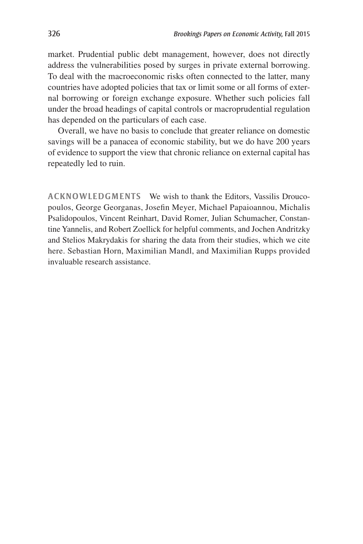market. Prudential public debt management, however, does not directly address the vulnerabilities posed by surges in private external borrowing. To deal with the macroeconomic risks often connected to the latter, many countries have adopted policies that tax or limit some or all forms of external borrowing or foreign exchange exposure. Whether such policies fall under the broad headings of capital controls or macroprudential regulation has depended on the particulars of each case.

Overall, we have no basis to conclude that greater reliance on domestic savings will be a panacea of economic stability, but we do have 200 years of evidence to support the view that chronic reliance on external capital has repeatedly led to ruin.

**ACKNOWLEDGMENTS** We wish to thank the Editors, Vassilis Droucopoulos, George Georganas, Josefin Meyer, Michael Papaioannou, Michalis Psalidopoulos, Vincent Reinhart, David Romer, Julian Schumacher, Constantine Yannelis, and Robert Zoellick for helpful comments, and Jochen Andritzky and Stelios Makrydakis for sharing the data from their studies, which we cite here. Sebastian Horn, Maximilian Mandl, and Maximilian Rupps provided invaluable research assistance.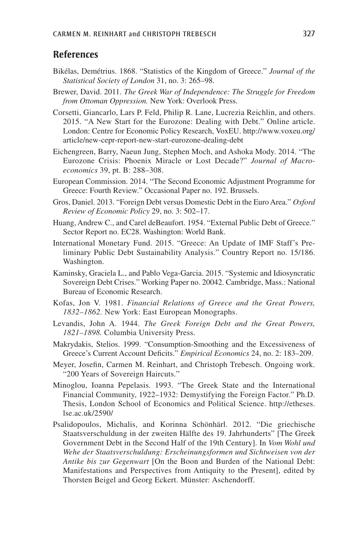# **References**

- Bikélas, Demétrius. 1868. "Statistics of the Kingdom of Greece." *Journal of the Statistical Society of London* 31, no. 3: 265–98.
- Brewer, David. 2011. *The Greek War of Independence: The Struggle for Freedom from Ottoman Oppression.* New York: Overlook Press.
- Corsetti, Giancarlo, Lars P. Feld, Philip R. Lane, Lucrezia Reichlin, and others. 2015. "A New Start for the Eurozone: Dealing with Debt." Online article. London: Centre for Economic Policy Research, VoxEU. http://www.voxeu.org/ article/new-cepr-report-new-start-eurozone-dealing-debt
- Eichengreen, Barry, Naeun Jung, Stephen Moch, and Ashoka Mody. 2014. "The Eurozone Crisis: Phoenix Miracle or Lost Decade?" *Journal of Macroeconomics* 39, pt. B: 288–308.
- European Commission. 2014. "The Second Economic Adjustment Programme for Greece: Fourth Review." Occasional Paper no. 192. Brussels.
- Gros, Daniel. 2013. "Foreign Debt versus Domestic Debt in the Euro Area." *Oxford Review of Economic Policy* 29, no. 3: 502–17.
- Huang, Andrew C., and Carel deBeaufort. 1954. "External Public Debt of Greece." Sector Report no. EC28. Washington: World Bank.
- International Monetary Fund. 2015. "Greece: An Update of IMF Staff's Preliminary Public Debt Sustainability Analysis." Country Report no. 15/186. Washington.
- Kaminsky, Graciela L., and Pablo Vega-Garcia. 2015. "Systemic and Idiosyncratic Sovereign Debt Crises." Working Paper no. 20042. Cambridge, Mass.: National Bureau of Economic Research.
- Kofas, Jon V. 1981. *Financial Relations of Greece and the Great Powers, 1832–1862.* New York: East European Monographs.
- Levandis, John A. 1944. *The Greek Foreign Debt and the Great Powers, 1821–1898.* Columbia University Press.
- Makrydakis, Stelios. 1999. "Consumption-Smoothing and the Excessiveness of Greece's Current Account Deficits." *Empirical Economics* 24, no. 2: 183–209.
- Meyer, Josefin, Carmen M. Reinhart, and Christoph Trebesch. Ongoing work. "200 Years of Sovereign Haircuts."
- Minoglou, Ioanna Pepelasis. 1993. "The Greek State and the International Financial Community, 1922–1932: Demystifying the Foreign Factor." Ph.D. Thesis, London School of Economics and Political Science. http://etheses. lse.ac.uk/2590/
- Psalidopoulos, Michalis, and Korinna Schönhärl. 2012. "Die griechische Staatsverschuldung in der zweiten Hälfte des 19. Jahrhunderts" [The Greek Government Debt in the Second Half of the 19th Century]. In *Vom Wohl und Wehe der Staatsverschuldung: Erscheinungsformen und Sichtweisen von der Antike bis zur Gegenwart* [On the Boon and Burden of the National Debt: Manifestations and Perspectives from Antiquity to the Present], edited by Thorsten Beigel and Georg Eckert. Münster: Aschendorff.